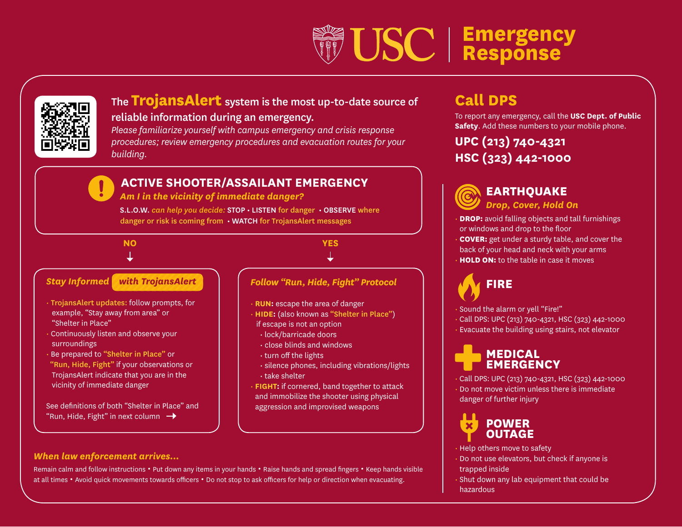# **Emergency Response**



# The **TrojansAlert** system is the most up-to-date source of

# reliable information during an emergency.

*Please familiarize yourself with campus emergency and crisis response procedures; review emergency procedures and evacuation routes for your building.*

# **ACTIVE SHOOTER/ASSAILANT EMERGENCY**

 *Am I in the vicinity of immediate danger?* 

S.L.O.W. *can help you decide:* STOP • LISTEN for danger • OBSERVE where danger or risk is coming from • WATCH for TrojansAlert messages

# **NO**

# *Stay Informed with TrojansAlert*

- TrojansAlert updates: follow prompts, for example, "Stay away from area" or "Shelter in Place"
- Continuously listen and observe your surroundings
- Be prepared to "Shelter in Place" or "Run, Hide, Fight" if your observations or TrojansAlert indicate that you are in the vicinity of immediate danger

See definitions of both "Shelter in Place" and "Run, Hide, Fight" in next column  $\rightarrow$ 

*When law enforcement arrives...*

**YES**

## *Follow "Run, Hide, Fight" Protocol*

- **RUN:** escape the area of danger
- **HIDE:** (also known as "Shelter in Place") if escape is not an option
	- lock/barricade doors
	- close blinds and windows
	- turn off the lights
	- silence phones, including vibrations/lights • take shelter
- **FIGHT:** if cornered, band together to attack and immobilize the shooter using physical aggression and improvised weapons

# **Call DPS**

To report any emergency, call the **USC Dept. of Public Safety.** Add these numbers to your mobile phone.

# **UPC (213) 740-4321 HSC (323) 442-1000**

# **EARTHQUAKE** *Drop, Cover, Hold On*

**DROP:** avoid falling objects and tall furnishings or windows and drop to the floor **COVER:** get under a sturdy table, and cover the back of your head and neck with your arms • **HOLD ON:** to the table in case it moves

# **FIRE**

• Sound the alarm or yell "Fire!"

• Call DPS: UPC (213) 740-4321, HSC (323) 442-1000 • Evacuate the building using stairs, not elevator

# **MEDICAL EMERGENCY**

• Call DPS: UPC (213) 740-4321, HSC (323) 442-1000 • Do not move victim unless there is immediate danger of further injury



- Help others move to safety
- Do not use elevators, but check if anyone is trapped inside
- Shut down any lab equipment that could be hazardous

## Remain calm and follow instructions • Put down any items in your hands • Raise hands and spread fingers • Keep hands visible at all times • Avoid quick movements towards officers • Do not stop to ask officers for help or direction when evacuating.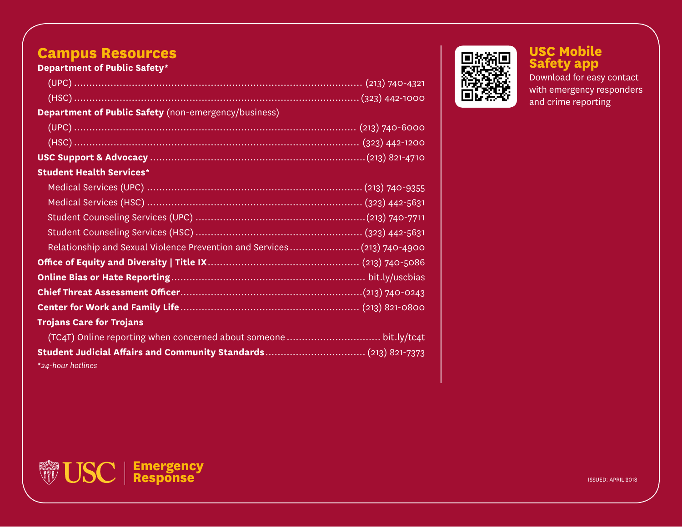# **Campus Resources**

**Department of Public Safety\***

| <b>Department of Public Safety</b> (non-emergency/business)            |
|------------------------------------------------------------------------|
|                                                                        |
|                                                                        |
|                                                                        |
| <b>Student Health Services*</b>                                        |
|                                                                        |
|                                                                        |
|                                                                        |
|                                                                        |
| Relationship and Sexual Violence Prevention and Services(213) 740-4900 |
|                                                                        |
|                                                                        |
|                                                                        |
|                                                                        |
| <b>Trojans Care for Trojans</b>                                        |
|                                                                        |
|                                                                        |

**Emergency Response**

**\****24-hour hotlines*



**USC Mobile Safety app** 

Download for easy contact with emergency responders and crime reporting

ISSUED: APRIL 2018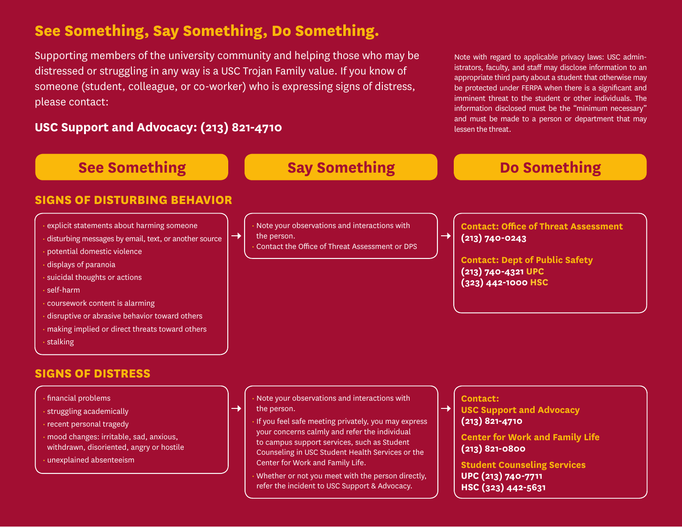# **See Something, Say Something, Do Something.**

Supporting members of the university community and helping those who may be distressed or struggling in any way is a USC Trojan Family value. If you know of someone (student, colleague, or co-worker) who is expressing signs of distress, please contact:

# **USC Support and Advocacy: (213) 821-4710**

Note with regard to applicable privacy laws: USC administrators, faculty, and staff may disclose information to an appropriate third party about a student that otherwise may be protected under FERPA when there is a significant and imminent threat to the student or other individuals. The information disclosed must be the "minimum necessary" and must be made to a person or department that may lessen the threat.

**HSC (323) 442-5631**

| <b>See Something</b>                                                                                                                                                                                                                                                                                                                                                                                | <b>Say Something</b>                                                                                                                                                                                                                                                                                                                                                             | <b>Do Something</b>                                                                                                                                                                                                              |
|-----------------------------------------------------------------------------------------------------------------------------------------------------------------------------------------------------------------------------------------------------------------------------------------------------------------------------------------------------------------------------------------------------|----------------------------------------------------------------------------------------------------------------------------------------------------------------------------------------------------------------------------------------------------------------------------------------------------------------------------------------------------------------------------------|----------------------------------------------------------------------------------------------------------------------------------------------------------------------------------------------------------------------------------|
| <b>SIGNS OF DISTURBING BEHAVIOR</b>                                                                                                                                                                                                                                                                                                                                                                 |                                                                                                                                                                                                                                                                                                                                                                                  |                                                                                                                                                                                                                                  |
| · explicit statements about harming someone<br>disturbing messages by email, text, or another source<br>potential domestic violence<br>displays of paranoia<br>suicidal thoughts or actions<br>$\cdot$ self-harm<br>· coursework content is alarming<br>disruptive or abrasive behavior toward others<br>· making implied or direct threats toward others<br>· stalking<br><b>SIGNS OF DISTRESS</b> | Note your observations and interactions with<br>$\rightarrow$<br>the person.<br>Contact the Office of Threat Assessment or DPS                                                                                                                                                                                                                                                   | <b>Contact: Office of Threat Assessment</b><br>$\rightarrow$<br>$(213) 740 - 0243$<br><b>Contact: Dept of Public Safety</b><br>(213) 740-4321 UPC<br>(323) 442-1000 HSC                                                          |
| · financial problems<br>· struggling academically<br>· recent personal tragedy<br>· mood changes: irritable, sad, anxious,<br>withdrawn, disoriented, angry or hostile<br>· unexplained absenteeism                                                                                                                                                                                                 | Note your observations and interactions with<br>the person.<br>$\rightarrow$<br>If you feel safe meeting privately, you may express<br>your concerns calmly and refer the individual<br>to campus support services, such as Student<br>Counseling in USC Student Health Services or the<br>Center for Work and Family Life.<br>Whether or not you meet with the person directly, | <b>Contact:</b><br>$\rightarrow$ $\overline{ }$<br><b>USC Support and Advocacy</b><br>$(213)$ 821-4710<br><b>Center for Work and Family Life</b><br>$(213)$ 821-0800<br><b>Student Counseling Services</b><br>UPC (213) 740-7711 |

refer the incident to USC Support & Advocacy.